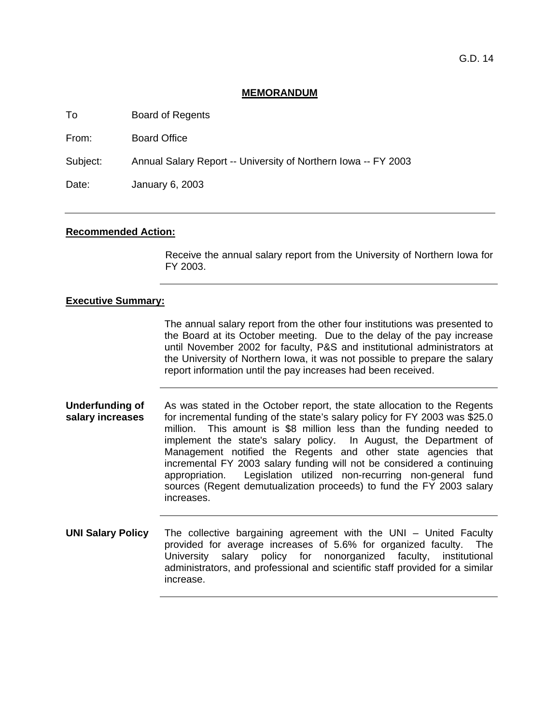## **MEMORANDUM**

To Board of Regents

From: Board Office

Subject: Annual Salary Report -- University of Northern Iowa -- FY 2003

Date: January 6, 2003

## **Recommended Action:**

Receive the annual salary report from the University of Northern Iowa for FY 2003.

# **Executive Summary:**

The annual salary report from the other four institutions was presented to the Board at its October meeting. Due to the delay of the pay increase until November 2002 for faculty, P&S and institutional administrators at the University of Northern Iowa, it was not possible to prepare the salary report information until the pay increases had been received.

- **Underfunding of salary increases**  As was stated in the October report, the state allocation to the Regents for incremental funding of the state's salary policy for FY 2003 was \$25.0 million. This amount is \$8 million less than the funding needed to implement the state's salary policy. In August, the Department of Management notified the Regents and other state agencies that incremental FY 2003 salary funding will not be considered a continuing appropriation. Legislation utilized non-recurring non-general fund sources (Regent demutualization proceeds) to fund the FY 2003 salary increases.
- **UNI Salary Policy** The collective bargaining agreement with the UNI United Faculty provided for average increases of 5.6% for organized faculty. The University salary policy for nonorganized faculty, institutional administrators, and professional and scientific staff provided for a similar increase.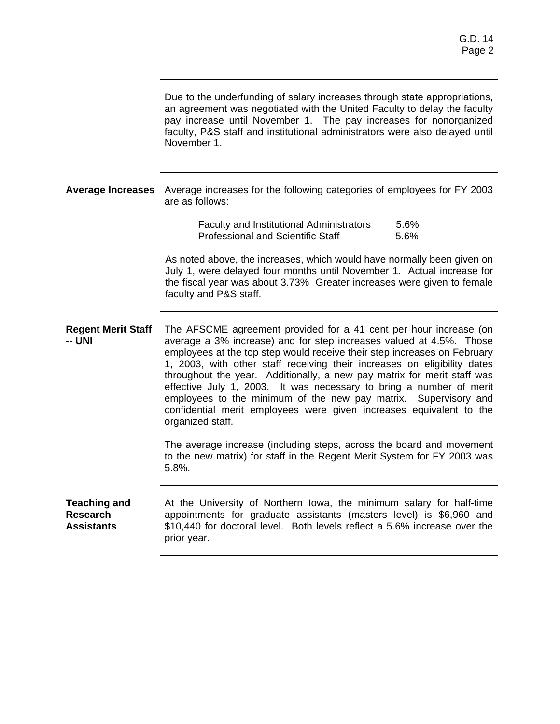|                                                             | Due to the underfunding of salary increases through state appropriations,<br>an agreement was negotiated with the United Faculty to delay the faculty<br>pay increase until November 1. The pay increases for nonorganized<br>faculty, P&S staff and institutional administrators were also delayed until<br>November 1.                                                                                                                                                                                                                                                                                         |  |  |  |  |  |  |
|-------------------------------------------------------------|------------------------------------------------------------------------------------------------------------------------------------------------------------------------------------------------------------------------------------------------------------------------------------------------------------------------------------------------------------------------------------------------------------------------------------------------------------------------------------------------------------------------------------------------------------------------------------------------------------------|--|--|--|--|--|--|
| <b>Average Increases</b>                                    | Average increases for the following categories of employees for FY 2003<br>are as follows:                                                                                                                                                                                                                                                                                                                                                                                                                                                                                                                       |  |  |  |  |  |  |
|                                                             | 5.6%<br><b>Faculty and Institutional Administrators</b><br><b>Professional and Scientific Staff</b><br>5.6%                                                                                                                                                                                                                                                                                                                                                                                                                                                                                                      |  |  |  |  |  |  |
|                                                             | As noted above, the increases, which would have normally been given on<br>July 1, were delayed four months until November 1. Actual increase for<br>the fiscal year was about 3.73% Greater increases were given to female<br>faculty and P&S staff.                                                                                                                                                                                                                                                                                                                                                             |  |  |  |  |  |  |
| <b>Regent Merit Staff</b><br>-- UNI                         | The AFSCME agreement provided for a 41 cent per hour increase (on<br>average a 3% increase) and for step increases valued at 4.5%. Those<br>employees at the top step would receive their step increases on February<br>1, 2003, with other staff receiving their increases on eligibility dates<br>throughout the year. Additionally, a new pay matrix for merit staff was<br>effective July 1, 2003. It was necessary to bring a number of merit<br>employees to the minimum of the new pay matrix. Supervisory and<br>confidential merit employees were given increases equivalent to the<br>organized staff. |  |  |  |  |  |  |
|                                                             | The average increase (including steps, across the board and movement<br>to the new matrix) for staff in the Regent Merit System for FY 2003 was<br>5.8%.                                                                                                                                                                                                                                                                                                                                                                                                                                                         |  |  |  |  |  |  |
| <b>Teaching and</b><br><b>Research</b><br><b>Assistants</b> | At the University of Northern Iowa, the minimum salary for half-time<br>appointments for graduate assistants (masters level) is \$6,960 and<br>\$10,440 for doctoral level. Both levels reflect a 5.6% increase over the<br>prior year.                                                                                                                                                                                                                                                                                                                                                                          |  |  |  |  |  |  |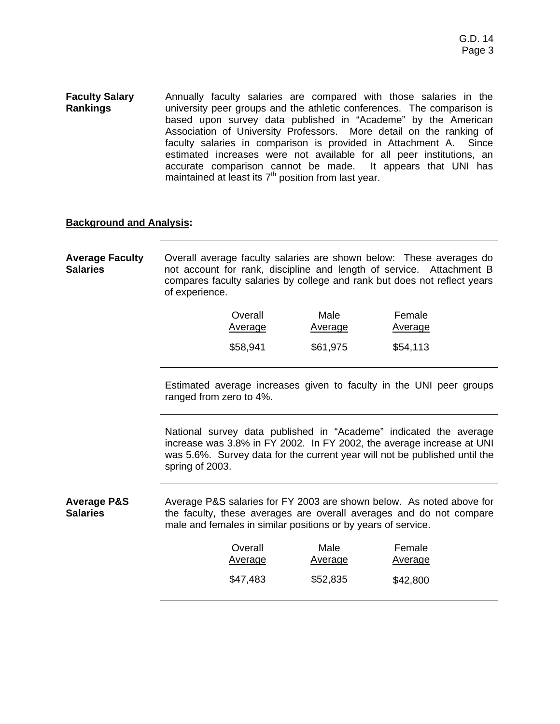**Faculty Salary Rankings**  Annually faculty salaries are compared with those salaries in the university peer groups and the athletic conferences. The comparison is based upon survey data published in "Academe" by the American Association of University Professors. More detail on the ranking of faculty salaries in comparison is provided in Attachment A. Since estimated increases were not available for all peer institutions, an accurate comparison cannot be made. It appears that UNI has maintained at least its  $7<sup>th</sup>$  position from last year.

## **Background and Analysis:**

**Average Faculty Salaries**  Overall average faculty salaries are shown below: These averages do not account for rank, discipline and length of service. Attachment B compares faculty salaries by college and rank but does not reflect years of experience.

| Overall  | Male     | Female   |
|----------|----------|----------|
| Average  | Average  | Average  |
| \$58,941 | \$61,975 | \$54,113 |

Estimated average increases given to faculty in the UNI peer groups ranged from zero to 4%.

National survey data published in "Academe" indicated the average increase was 3.8% in FY 2002. In FY 2002, the average increase at UNI was 5.6%. Survey data for the current year will not be published until the spring of 2003.

**Average P&S Salaries**  Average P&S salaries for FY 2003 are shown below. As noted above for the faculty, these averages are overall averages and do not compare male and females in similar positions or by years of service.

| Overall  | Male     | Female   |  |
|----------|----------|----------|--|
| Average  | Average  | Average  |  |
| \$47,483 | \$52,835 | \$42,800 |  |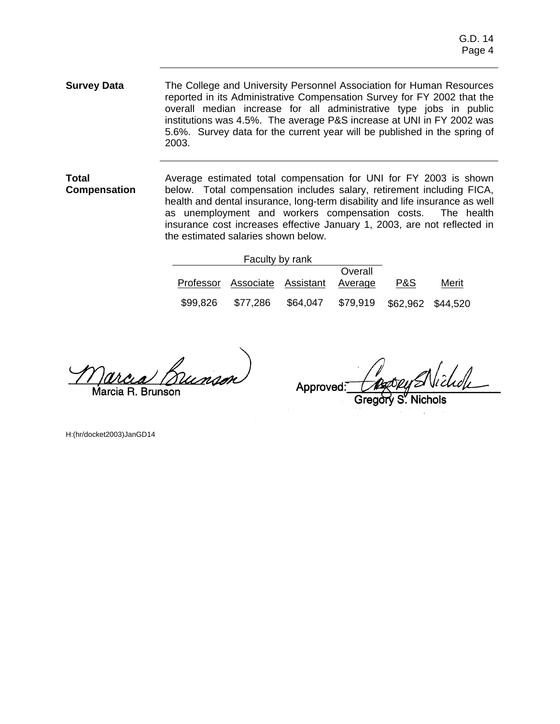**Survey Data** The College and University Personnel Association for Human Resources reported in its Administrative Compensation Survey for FY 2002 that the overall median increase for all administrative type jobs in public institutions was 4.5%. The average P&S increase at UNI in FY 2002 was 5.6%. Survey data for the current year will be published in the spring of 2003.

**Total Compensation**  Average estimated total compensation for UNI for FY 2003 is shown below. Total compensation includes salary, retirement including FICA, health and dental insurance, long-term disability and life insurance as well as unemployment and workers compensation costs. The health insurance cost increases effective January 1, 2003, are not reflected in the estimated salaries shown below.

|          | Faculty by rank                       |          |          |                   |       |
|----------|---------------------------------------|----------|----------|-------------------|-------|
|          |                                       |          | Overall  |                   |       |
|          | Professor Associate Assistant Average |          |          | P&S               | Merit |
| \$99,826 | \$77,286                              | \$64,047 | \$79,919 | \$62,962 \$44,520 |       |

Marcia R. Brunson

Approved:

H:(hr/docket2003)JanGD14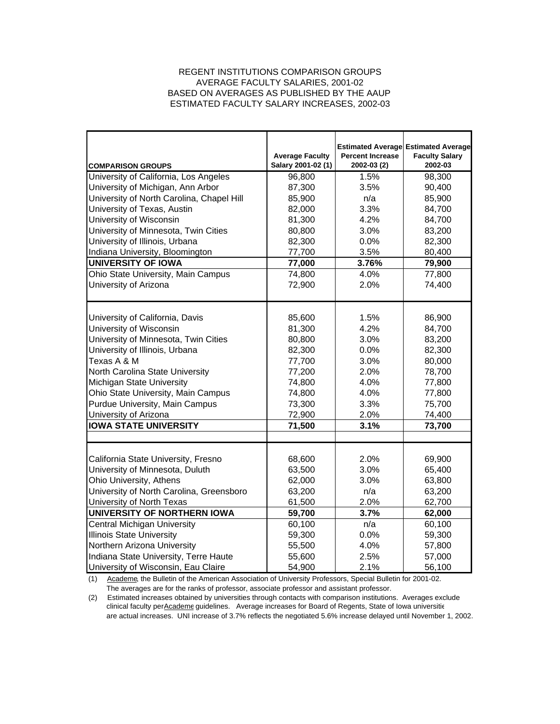## REGENT INSTITUTIONS COMPARISON GROUPS AVERAGE FACULTY SALARIES, 2001-02 BASED ON AVERAGES AS PUBLISHED BY THE AAUP ESTIMATED FACULTY SALARY INCREASES, 2002-03

| <b>COMPARISON GROUPS</b>                  | <b>Average Faculty</b><br>Salary 2001-02 (1) | <b>Percent Increase</b><br>2002-03 (2) | <b>Estimated Average Estimated Average</b><br><b>Faculty Salary</b><br>2002-03 |  |  |  |
|-------------------------------------------|----------------------------------------------|----------------------------------------|--------------------------------------------------------------------------------|--|--|--|
| University of California, Los Angeles     | 96,800                                       | 1.5%                                   | 98,300                                                                         |  |  |  |
| University of Michigan, Ann Arbor         | 87,300                                       | 3.5%                                   | 90,400                                                                         |  |  |  |
| University of North Carolina, Chapel Hill | 85,900                                       | n/a                                    | 85,900                                                                         |  |  |  |
| University of Texas, Austin               | 82,000                                       | 3.3%                                   | 84,700                                                                         |  |  |  |
| University of Wisconsin                   | 81,300                                       | 4.2%                                   | 84,700                                                                         |  |  |  |
| University of Minnesota, Twin Cities      | 80,800                                       | 3.0%                                   | 83,200                                                                         |  |  |  |
| University of Illinois, Urbana            | 82,300                                       | 0.0%                                   | 82,300                                                                         |  |  |  |
| Indiana University, Bloomington           | 77,700                                       | 3.5%                                   | 80,400                                                                         |  |  |  |
| <b>UNIVERSITY OF IOWA</b>                 | 77,000                                       | 3.76%                                  | 79,900                                                                         |  |  |  |
| Ohio State University, Main Campus        | 74,800                                       | 4.0%                                   | 77,800                                                                         |  |  |  |
| University of Arizona                     | 72,900                                       | 2.0%                                   | 74,400                                                                         |  |  |  |
|                                           |                                              |                                        |                                                                                |  |  |  |
| University of California, Davis           | 85,600                                       | 1.5%                                   | 86,900                                                                         |  |  |  |
| University of Wisconsin                   | 81,300                                       | 4.2%                                   | 84,700                                                                         |  |  |  |
| University of Minnesota, Twin Cities      | 80,800                                       | 3.0%                                   | 83,200                                                                         |  |  |  |
| University of Illinois, Urbana            | 82,300                                       | 0.0%                                   | 82,300                                                                         |  |  |  |
| Texas A & M                               | 77,700                                       | 3.0%                                   | 80,000                                                                         |  |  |  |
| North Carolina State University           | 77,200                                       | 2.0%                                   | 78,700                                                                         |  |  |  |
| Michigan State University                 | 74,800                                       | 4.0%                                   | 77,800                                                                         |  |  |  |
| Ohio State University, Main Campus        | 74,800                                       | 4.0%                                   | 77,800                                                                         |  |  |  |
| Purdue University, Main Campus            | 73,300                                       | 3.3%                                   | 75,700                                                                         |  |  |  |
| University of Arizona                     | 72,900                                       | 2.0%                                   | 74,400                                                                         |  |  |  |
| <b>IOWA STATE UNIVERSITY</b>              | 71,500                                       | 3.1%                                   | 73,700                                                                         |  |  |  |
|                                           |                                              |                                        |                                                                                |  |  |  |
| California State University, Fresno       | 68,600                                       | 2.0%                                   | 69,900                                                                         |  |  |  |
| University of Minnesota, Duluth           | 63,500                                       | 3.0%                                   | 65,400                                                                         |  |  |  |
| Ohio University, Athens                   | 62,000                                       | 3.0%                                   | 63,800                                                                         |  |  |  |
| University of North Carolina, Greensboro  | 63,200                                       | n/a                                    | 63,200                                                                         |  |  |  |
| University of North Texas                 | 61,500                                       | 2.0%                                   | 62,700                                                                         |  |  |  |
| <b>UNIVERSITY OF NORTHERN IOWA</b>        | 59,700                                       | 3.7%                                   | 62,000                                                                         |  |  |  |
| <b>Central Michigan University</b>        | 60,100                                       | n/a                                    | 60,100                                                                         |  |  |  |
| <b>Illinois State University</b>          | 59,300                                       | 0.0%                                   | 59,300                                                                         |  |  |  |
| Northern Arizona University               | 55,500                                       | 4.0%                                   | 57,800                                                                         |  |  |  |
| Indiana State University, Terre Haute     | 55,600                                       | 2.5%                                   | 57,000                                                                         |  |  |  |
| University of Wisconsin, Eau Claire       | 54,900                                       | 2.1%                                   | 56,100                                                                         |  |  |  |

(1) Academe, the Bulletin of the American Association of University Professors, Special Bulletin for 2001-02. The averages are for the ranks of professor, associate professor and assistant professor.

(2) Estimated increases obtained by universities through contacts with comparison institutions. Averages exclude clinical faculty per Academe guidelines. Average increases for Board of Regents, State of Iowa universitie are actual increases. UNI increase of 3.7% reflects the negotiated 5.6% increase delayed until November 1, 2002.